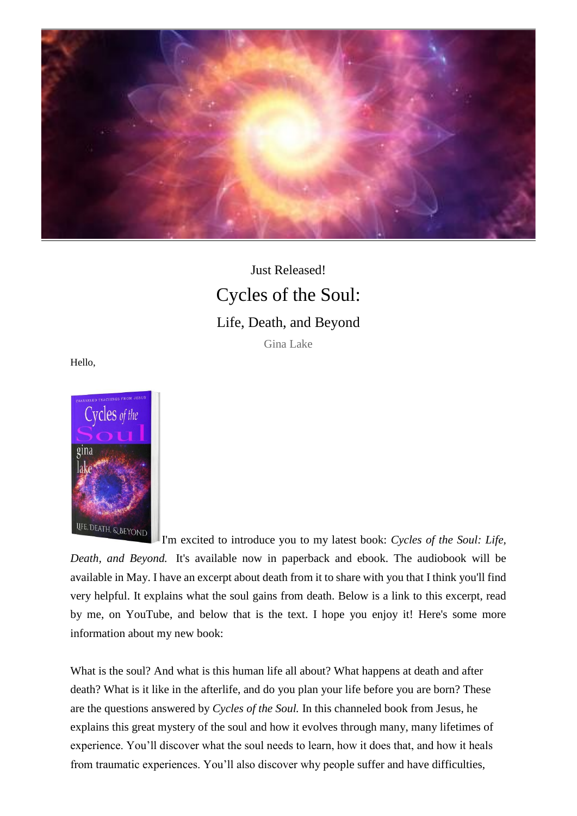

## Just Released! Cycles of the Soul: Life, Death, and Beyond

## Gina Lake

Hello,



I'm excited to introduce you to my latest book: *Cycles of the Soul: Life, Death, and Beyond.* It's available now in paperback and ebook. The audiobook will be available in May. I have an excerpt about death from it to share with you that I think you'll find very helpful. It explains what the soul gains from death. Below is a link to this excerpt, read by me, on YouTube, and below that is the text. I hope you enjoy it! Here's some more information about my new book:

What is the soul? And what is this human life all about? What happens at death and after death? What is it like in the afterlife, and do you plan your life before you are born? These are the questions answered by *Cycles of the Soul.* In this channeled book from Jesus, he explains this great mystery of the soul and how it evolves through many, many lifetimes of experience. You'll discover what the soul needs to learn, how it does that, and how it heals from traumatic experiences. You'll also discover why people suffer and have difficulties,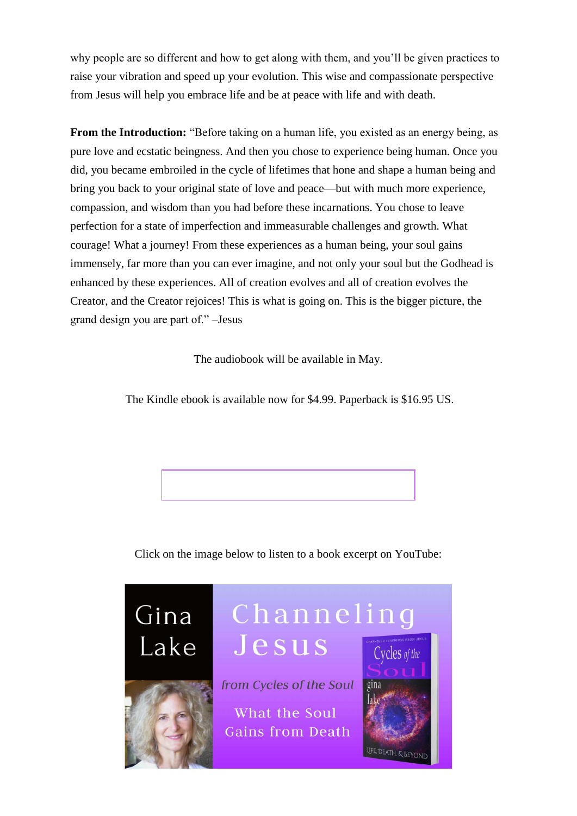why people are so different and how to get along with them, and you'll be given practices to raise your vibration and speed up your evolution. This wise and compassionate perspective from Jesus will help you embrace life and be at peace with life and with death.

**From the Introduction:** "Before taking on a human life, you existed as an energy being, as pure love and ecstatic beingness. And then you chose to experience being human. Once you did, you became embroiled in the cycle of lifetimes that hone and shape a human being and bring you back to your original state of love and peace—but with much more experience, compassion, and wisdom than you had before these incarnations. You chose to leave perfection for a state of imperfection and immeasurable challenges and growth. What courage! What a journey! From these experiences as a human being, your soul gains immensely, far more than you can ever imagine, and not only your soul but the Godhead is enhanced by these experiences. All of creation evolves and all of creation evolves the Creator, and the Creator rejoices! This is what is going on. This is the bigger picture, the grand design you are part of." –Jesus

The audiobook will be available in May.

The Kindle ebook is available now for \$4.99. Paperback is \$16.95 US.

Click on the image below to listen to a book excerpt on YouTube:

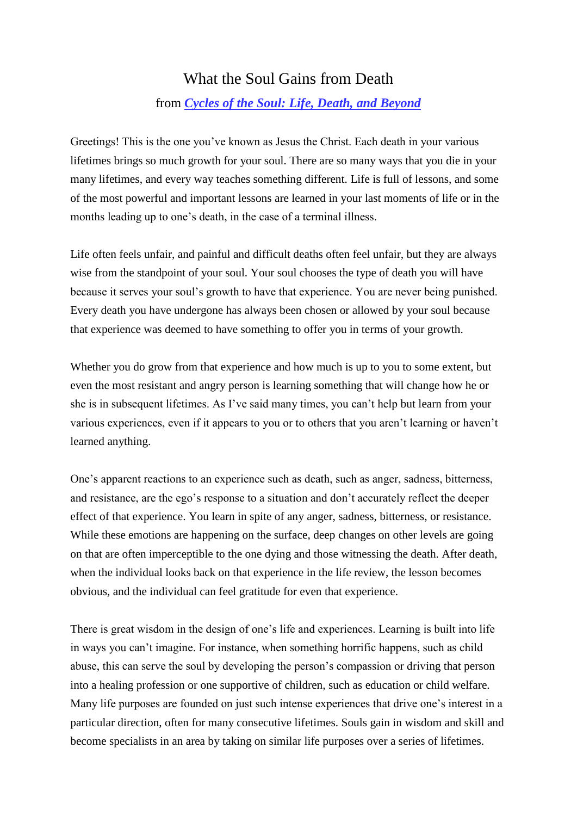## What the Soul Gains from Death

## from *[Cycles of the Soul: Life, Death, and Beyond](https://ginalake.krtra.com/c/a95CyWbUr3Xc/nnEG2)*

Greetings! This is the one you've known as Jesus the Christ. Each death in your various lifetimes brings so much growth for your soul. There are so many ways that you die in your many lifetimes, and every way teaches something different. Life is full of lessons, and some of the most powerful and important lessons are learned in your last moments of life or in the months leading up to one's death, in the case of a terminal illness.

Life often feels unfair, and painful and difficult deaths often feel unfair, but they are always wise from the standpoint of your soul. Your soul chooses the type of death you will have because it serves your soul's growth to have that experience. You are never being punished. Every death you have undergone has always been chosen or allowed by your soul because that experience was deemed to have something to offer you in terms of your growth.

Whether you do grow from that experience and how much is up to you to some extent, but even the most resistant and angry person is learning something that will change how he or she is in subsequent lifetimes. As I've said many times, you can't help but learn from your various experiences, even if it appears to you or to others that you aren't learning or haven't learned anything.

One's apparent reactions to an experience such as death, such as anger, sadness, bitterness, and resistance, are the ego's response to a situation and don't accurately reflect the deeper effect of that experience. You learn in spite of any anger, sadness, bitterness, or resistance. While these emotions are happening on the surface, deep changes on other levels are going on that are often imperceptible to the one dying and those witnessing the death. After death, when the individual looks back on that experience in the life review, the lesson becomes obvious, and the individual can feel gratitude for even that experience.

There is great wisdom in the design of one's life and experiences. Learning is built into life in ways you can't imagine. For instance, when something horrific happens, such as child abuse, this can serve the soul by developing the person's compassion or driving that person into a healing profession or one supportive of children, such as education or child welfare. Many life purposes are founded on just such intense experiences that drive one's interest in a particular direction, often for many consecutive lifetimes. Souls gain in wisdom and skill and become specialists in an area by taking on similar life purposes over a series of lifetimes.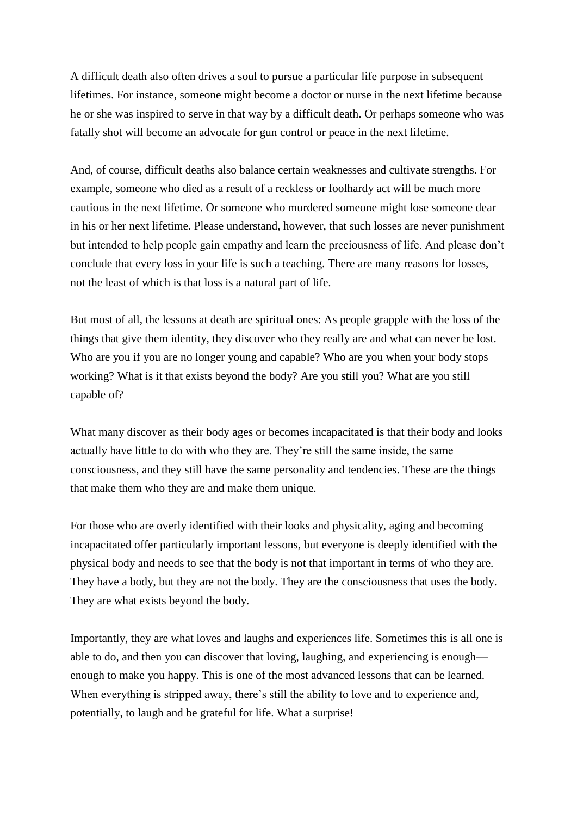A difficult death also often drives a soul to pursue a particular life purpose in subsequent lifetimes. For instance, someone might become a doctor or nurse in the next lifetime because he or she was inspired to serve in that way by a difficult death. Or perhaps someone who was fatally shot will become an advocate for gun control or peace in the next lifetime.

And, of course, difficult deaths also balance certain weaknesses and cultivate strengths. For example, someone who died as a result of a reckless or foolhardy act will be much more cautious in the next lifetime. Or someone who murdered someone might lose someone dear in his or her next lifetime. Please understand, however, that such losses are never punishment but intended to help people gain empathy and learn the preciousness of life. And please don't conclude that every loss in your life is such a teaching. There are many reasons for losses, not the least of which is that loss is a natural part of life.

But most of all, the lessons at death are spiritual ones: As people grapple with the loss of the things that give them identity, they discover who they really are and what can never be lost. Who are you if you are no longer young and capable? Who are you when your body stops working? What is it that exists beyond the body? Are you still you? What are you still capable of?

What many discover as their body ages or becomes incapacitated is that their body and looks actually have little to do with who they are. They're still the same inside, the same consciousness, and they still have the same personality and tendencies. These are the things that make them who they are and make them unique.

For those who are overly identified with their looks and physicality, aging and becoming incapacitated offer particularly important lessons, but everyone is deeply identified with the physical body and needs to see that the body is not that important in terms of who they are. They have a body, but they are not the body. They are the consciousness that uses the body. They are what exists beyond the body.

Importantly, they are what loves and laughs and experiences life. Sometimes this is all one is able to do, and then you can discover that loving, laughing, and experiencing is enough enough to make you happy. This is one of the most advanced lessons that can be learned. When everything is stripped away, there's still the ability to love and to experience and, potentially, to laugh and be grateful for life. What a surprise!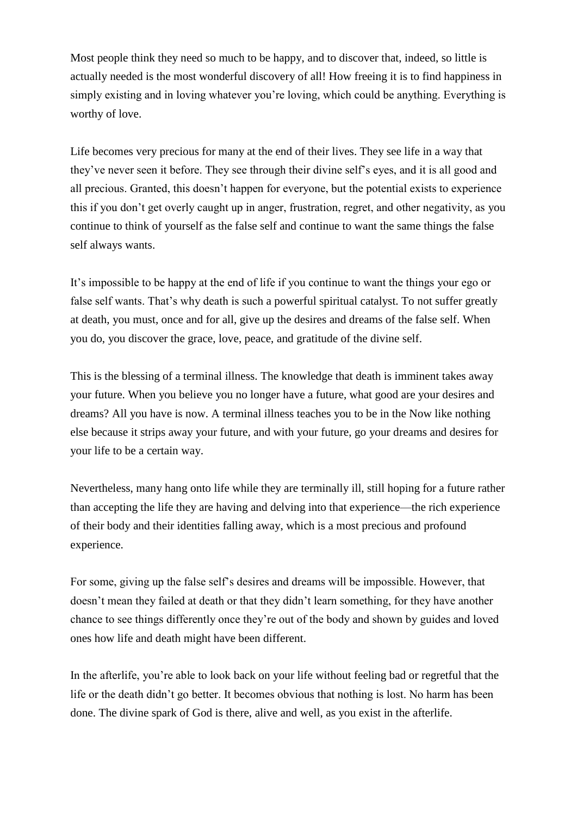Most people think they need so much to be happy, and to discover that, indeed, so little is actually needed is the most wonderful discovery of all! How freeing it is to find happiness in simply existing and in loving whatever you're loving, which could be anything. Everything is worthy of love.

Life becomes very precious for many at the end of their lives. They see life in a way that they've never seen it before. They see through their divine self's eyes, and it is all good and all precious. Granted, this doesn't happen for everyone, but the potential exists to experience this if you don't get overly caught up in anger, frustration, regret, and other negativity, as you continue to think of yourself as the false self and continue to want the same things the false self always wants.

It's impossible to be happy at the end of life if you continue to want the things your ego or false self wants. That's why death is such a powerful spiritual catalyst. To not suffer greatly at death, you must, once and for all, give up the desires and dreams of the false self. When you do, you discover the grace, love, peace, and gratitude of the divine self.

This is the blessing of a terminal illness. The knowledge that death is imminent takes away your future. When you believe you no longer have a future, what good are your desires and dreams? All you have is now. A terminal illness teaches you to be in the Now like nothing else because it strips away your future, and with your future, go your dreams and desires for your life to be a certain way.

Nevertheless, many hang onto life while they are terminally ill, still hoping for a future rather than accepting the life they are having and delving into that experience—the rich experience of their body and their identities falling away, which is a most precious and profound experience.

For some, giving up the false self's desires and dreams will be impossible. However, that doesn't mean they failed at death or that they didn't learn something, for they have another chance to see things differently once they're out of the body and shown by guides and loved ones how life and death might have been different.

In the afterlife, you're able to look back on your life without feeling bad or regretful that the life or the death didn't go better. It becomes obvious that nothing is lost. No harm has been done. The divine spark of God is there, alive and well, as you exist in the afterlife.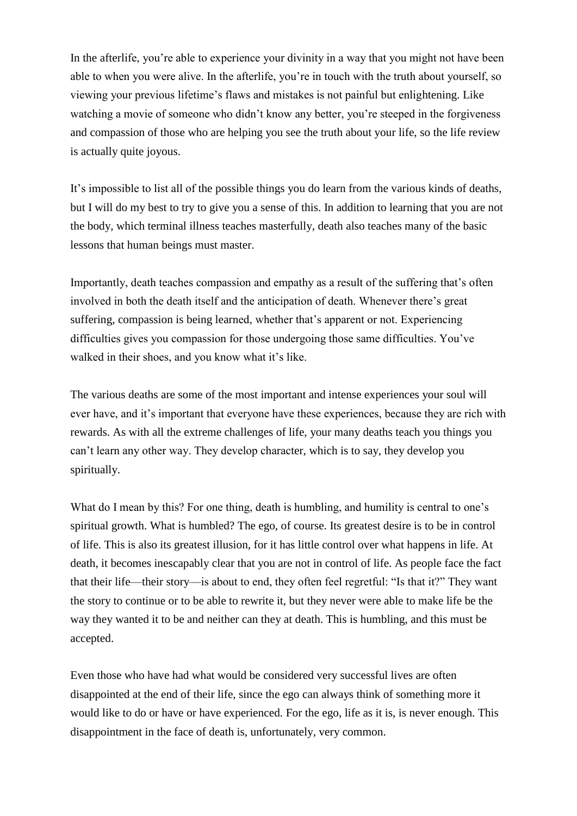In the afterlife, you're able to experience your divinity in a way that you might not have been able to when you were alive. In the afterlife, you're in touch with the truth about yourself, so viewing your previous lifetime's flaws and mistakes is not painful but enlightening. Like watching a movie of someone who didn't know any better, you're steeped in the forgiveness and compassion of those who are helping you see the truth about your life, so the life review is actually quite joyous.

It's impossible to list all of the possible things you do learn from the various kinds of deaths, but I will do my best to try to give you a sense of this. In addition to learning that you are not the body, which terminal illness teaches masterfully, death also teaches many of the basic lessons that human beings must master.

Importantly, death teaches compassion and empathy as a result of the suffering that's often involved in both the death itself and the anticipation of death. Whenever there's great suffering, compassion is being learned, whether that's apparent or not. Experiencing difficulties gives you compassion for those undergoing those same difficulties. You've walked in their shoes, and you know what it's like.

The various deaths are some of the most important and intense experiences your soul will ever have, and it's important that everyone have these experiences, because they are rich with rewards. As with all the extreme challenges of life, your many deaths teach you things you can't learn any other way. They develop character, which is to say, they develop you spiritually.

What do I mean by this? For one thing, death is humbling, and humility is central to one's spiritual growth. What is humbled? The ego, of course. Its greatest desire is to be in control of life. This is also its greatest illusion, for it has little control over what happens in life. At death, it becomes inescapably clear that you are not in control of life. As people face the fact that their life—their story—is about to end, they often feel regretful: "Is that it?" They want the story to continue or to be able to rewrite it, but they never were able to make life be the way they wanted it to be and neither can they at death. This is humbling, and this must be accepted.

Even those who have had what would be considered very successful lives are often disappointed at the end of their life, since the ego can always think of something more it would like to do or have or have experienced. For the ego, life as it is, is never enough. This disappointment in the face of death is, unfortunately, very common.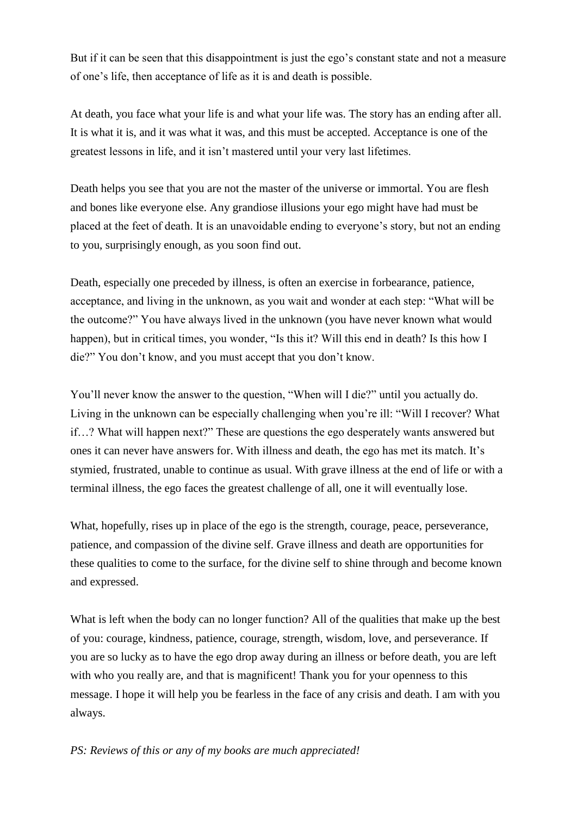But if it can be seen that this disappointment is just the ego's constant state and not a measure of one's life, then acceptance of life as it is and death is possible.

At death, you face what your life is and what your life was. The story has an ending after all. It is what it is, and it was what it was, and this must be accepted. Acceptance is one of the greatest lessons in life, and it isn't mastered until your very last lifetimes.

Death helps you see that you are not the master of the universe or immortal. You are flesh and bones like everyone else. Any grandiose illusions your ego might have had must be placed at the feet of death. It is an unavoidable ending to everyone's story, but not an ending to you, surprisingly enough, as you soon find out.

Death, especially one preceded by illness, is often an exercise in forbearance, patience, acceptance, and living in the unknown, as you wait and wonder at each step: "What will be the outcome?" You have always lived in the unknown (you have never known what would happen), but in critical times, you wonder, "Is this it? Will this end in death? Is this how I die?" You don't know, and you must accept that you don't know.

You'll never know the answer to the question, "When will I die?" until you actually do. Living in the unknown can be especially challenging when you're ill: "Will I recover? What if…? What will happen next?" These are questions the ego desperately wants answered but ones it can never have answers for. With illness and death, the ego has met its match. It's stymied, frustrated, unable to continue as usual. With grave illness at the end of life or with a terminal illness, the ego faces the greatest challenge of all, one it will eventually lose.

What, hopefully, rises up in place of the ego is the strength, courage, peace, perseverance, patience, and compassion of the divine self. Grave illness and death are opportunities for these qualities to come to the surface, for the divine self to shine through and become known and expressed.

What is left when the body can no longer function? All of the qualities that make up the best of you: courage, kindness, patience, courage, strength, wisdom, love, and perseverance. If you are so lucky as to have the ego drop away during an illness or before death, you are left with who you really are, and that is magnificent! Thank you for your openness to this message. I hope it will help you be fearless in the face of any crisis and death. I am with you always.

*PS: Reviews of this or any of my books are much appreciated!*